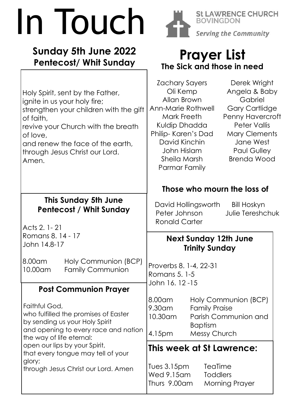# In Touch

### **Sunday 5th June 2022 Pentecost/ Whit Sunday**



**AWRENCE CHURCH** St L Serving the Community

## **Prayer List The Sick and those in need**

| Holy Spirit, sent by the Father,<br>ignite in us your holy fire;<br>strengthen your children with the gift<br>of faith,<br>revive your Church with the breath<br>of love,<br>and renew the face of the earth,<br>through Jesus Christ our Lord.<br>Amen. | Derek Wright<br>Zachary Sayers<br>Angela & Baby<br>Oli Kemp<br>Allan Brown<br>Gabriel<br>Ann-Marie Rothwell<br><b>Gary Cartlidge</b><br>Mark Freeth<br>Penny Havercroft<br><b>Peter Vallis</b><br>Kuldip Dhadda<br>Philip-Karen's Dad<br><b>Mary Clements</b><br>David Kinchin<br>Jane West<br>John Hislam<br><b>Paul Gulley</b><br>Sheila Marsh<br><b>Brenda Wood</b><br>Parmar Family |
|----------------------------------------------------------------------------------------------------------------------------------------------------------------------------------------------------------------------------------------------------------|-----------------------------------------------------------------------------------------------------------------------------------------------------------------------------------------------------------------------------------------------------------------------------------------------------------------------------------------------------------------------------------------|
|                                                                                                                                                                                                                                                          | Those who mourn the loss of                                                                                                                                                                                                                                                                                                                                                             |
| This Sunday 5th June<br><b>Pentecost / Whit Sunday</b>                                                                                                                                                                                                   | David Hollingsworth<br><b>Bill Hoskyn</b><br>Peter Johnson<br>Julie Tereshchuk<br><b>Ronald Carter</b>                                                                                                                                                                                                                                                                                  |
| Acts 2.1 - 21<br>Romans 8. 14 - 17                                                                                                                                                                                                                       |                                                                                                                                                                                                                                                                                                                                                                                         |
| John 14.8-17                                                                                                                                                                                                                                             | <b>Next Sunday 12th June</b><br><b>Trinity Sunday</b>                                                                                                                                                                                                                                                                                                                                   |
| 8.00am<br>Holy Communion (BCP)<br><b>Family Communion</b><br>10.00am                                                                                                                                                                                     | Proverbs 8. 1-4, 22-31<br>Romans 5. 1-5<br>John 16.12-15                                                                                                                                                                                                                                                                                                                                |
| <b>Post Communion Prayer</b>                                                                                                                                                                                                                             |                                                                                                                                                                                                                                                                                                                                                                                         |
| Faithful God,<br>who fulfilled the promises of Easter<br>by sending us your Holy Spirit<br>and opening to every race and nation                                                                                                                          | 8.00am<br>Holy Communion (BCP)<br>9.30am<br><b>Family Praise</b><br>10.30am<br>Parish Communion and<br><b>Baptism</b>                                                                                                                                                                                                                                                                   |
| the way of life eternal:<br>open our lips by your Spirit,                                                                                                                                                                                                | 4.15pm<br><b>Messy Church</b>                                                                                                                                                                                                                                                                                                                                                           |
| that every tongue may tell of your                                                                                                                                                                                                                       | This week at St Lawrence:                                                                                                                                                                                                                                                                                                                                                               |
| glory;<br>through Jesus Christ our Lord. Amen                                                                                                                                                                                                            | TeaTime<br>Tues 3.15pm<br>Wed 9.15am<br><b>Toddlers</b><br>Thurs 9.00am<br><b>Morning Prayer</b>                                                                                                                                                                                                                                                                                        |